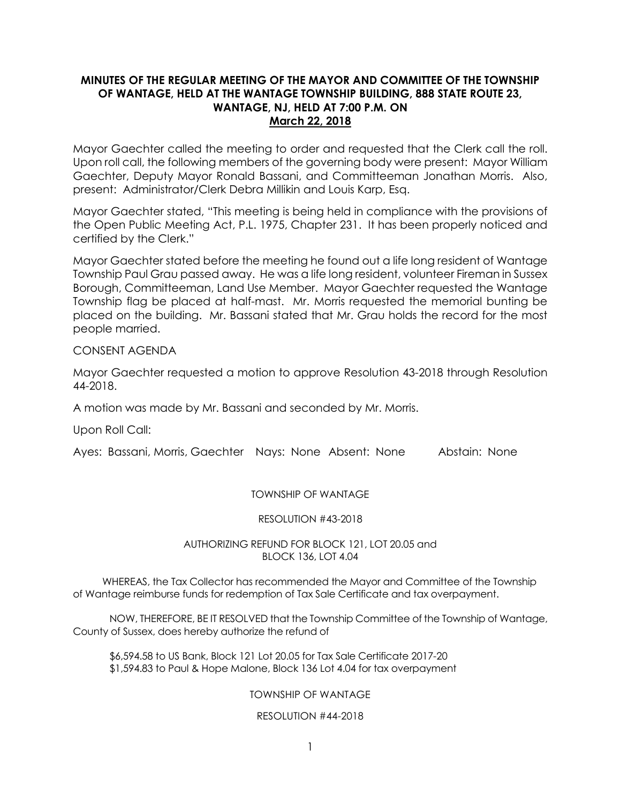# **MINUTES OF THE REGULAR MEETING OF THE MAYOR AND COMMITTEE OF THE TOWNSHIP OF WANTAGE, HELD AT THE WANTAGE TOWNSHIP BUILDING, 888 STATE ROUTE 23, WANTAGE, NJ, HELD AT 7:00 P.M. ON March 22, 2018**

Mayor Gaechter called the meeting to order and requested that the Clerk call the roll. Upon roll call, the following members of the governing body were present: Mayor William Gaechter, Deputy Mayor Ronald Bassani, and Committeeman Jonathan Morris. Also, present: Administrator/Clerk Debra Millikin and Louis Karp, Esq.

Mayor Gaechter stated, "This meeting is being held in compliance with the provisions of the Open Public Meeting Act, P.L. 1975, Chapter 231. It has been properly noticed and certified by the Clerk."

Mayor Gaechter stated before the meeting he found out a life long resident of Wantage Township Paul Grau passed away. He was a life long resident, volunteer Fireman in Sussex Borough, Committeeman, Land Use Member. Mayor Gaechter requested the Wantage Township flag be placed at half-mast. Mr. Morris requested the memorial bunting be placed on the building. Mr. Bassani stated that Mr. Grau holds the record for the most people married.

# CONSENT AGENDA

Mayor Gaechter requested a motion to approve Resolution 43-2018 through Resolution 44-2018.

A motion was made by Mr. Bassani and seconded by Mr. Morris.

Upon Roll Call:

Ayes: Bassani, Morris, Gaechter Nays: None Absent: None Abstain: None

# TOWNSHIP OF WANTAGE

### RESOLUTION #43-2018

## AUTHORIZING REFUND FOR BLOCK 121, LOT 20.05 and BLOCK 136, LOT 4.04

 WHEREAS, the Tax Collector has recommended the Mayor and Committee of the Township of Wantage reimburse funds for redemption of Tax Sale Certificate and tax overpayment.

NOW, THEREFORE, BE IT RESOLVED that the Township Committee of the Township of Wantage, County of Sussex, does hereby authorize the refund of

\$6,594.58 to US Bank, Block 121 Lot 20.05 for Tax Sale Certificate 2017-20 \$1,594.83 to Paul & Hope Malone, Block 136 Lot 4.04 for tax overpayment

# TOWNSHIP OF WANTAGE

### RESOLUTION #44-2018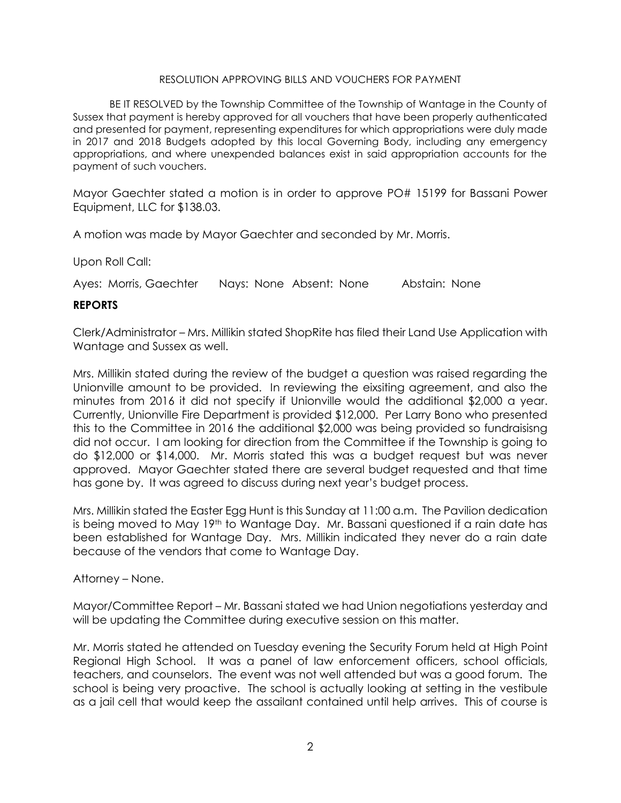### RESOLUTION APPROVING BILLS AND VOUCHERS FOR PAYMENT

BE IT RESOLVED by the Township Committee of the Township of Wantage in the County of Sussex that payment is hereby approved for all vouchers that have been properly authenticated and presented for payment, representing expenditures for which appropriations were duly made in 2017 and 2018 Budgets adopted by this local Governing Body, including any emergency appropriations, and where unexpended balances exist in said appropriation accounts for the payment of such vouchers.

Mayor Gaechter stated a motion is in order to approve PO# 15199 for Bassani Power Equipment, LLC for \$138.03.

A motion was made by Mayor Gaechter and seconded by Mr. Morris.

Upon Roll Call:

Ayes: Morris, Gaechter Nays: None Absent: None Abstain: None

## **REPORTS**

Clerk/Administrator – Mrs. Millikin stated ShopRite has filed their Land Use Application with Wantage and Sussex as well.

Mrs. Millikin stated during the review of the budget a question was raised regarding the Unionville amount to be provided. In reviewing the eixsiting agreement, and also the minutes from 2016 it did not specify if Unionville would the additional \$2,000 a year. Currently, Unionville Fire Department is provided \$12,000. Per Larry Bono who presented this to the Committee in 2016 the additional \$2,000 was being provided so fundraisisng did not occur. I am looking for direction from the Committee if the Township is going to do \$12,000 or \$14,000. Mr. Morris stated this was a budget request but was never approved. Mayor Gaechter stated there are several budget requested and that time has gone by. It was agreed to discuss during next year's budget process.

Mrs. Millikin stated the Easter Egg Hunt is this Sunday at 11:00 a.m. The Pavilion dedication is being moved to May 19th to Wantage Day. Mr. Bassani questioned if a rain date has been established for Wantage Day. Mrs. Millikin indicated they never do a rain date because of the vendors that come to Wantage Day.

# Attorney – None.

Mayor/Committee Report – Mr. Bassani stated we had Union negotiations yesterday and will be updating the Committee during executive session on this matter.

Mr. Morris stated he attended on Tuesday evening the Security Forum held at High Point Regional High School. It was a panel of law enforcement officers, school officials, teachers, and counselors. The event was not well attended but was a good forum. The school is being very proactive. The school is actually looking at setting in the vestibule as a jail cell that would keep the assailant contained until help arrives. This of course is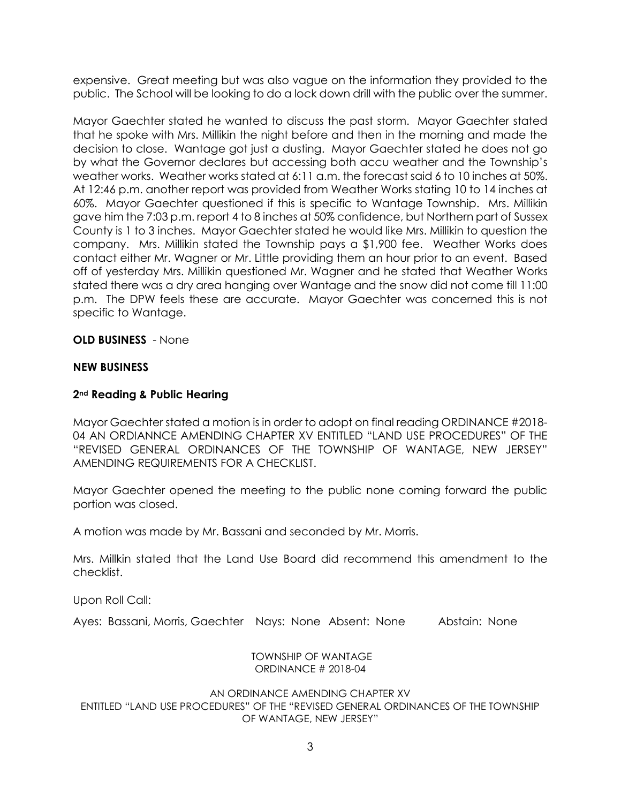expensive. Great meeting but was also vague on the information they provided to the public. The School will be looking to do a lock down drill with the public over the summer.

Mayor Gaechter stated he wanted to discuss the past storm. Mayor Gaechter stated that he spoke with Mrs. Millikin the night before and then in the morning and made the decision to close. Wantage got just a dusting. Mayor Gaechter stated he does not go by what the Governor declares but accessing both accu weather and the Township's weather works. Weather works stated at 6:11 a.m. the forecast said 6 to 10 inches at 50%. At 12:46 p.m. another report was provided from Weather Works stating 10 to 14 inches at 60%. Mayor Gaechter questioned if this is specific to Wantage Township. Mrs. Millikin gave him the 7:03 p.m. report 4 to 8 inches at 50% confidence, but Northern part of Sussex County is 1 to 3 inches. Mayor Gaechter stated he would like Mrs. Millikin to question the company. Mrs. Millikin stated the Township pays a \$1,900 fee. Weather Works does contact either Mr. Wagner or Mr. Little providing them an hour prior to an event. Based off of yesterday Mrs. Millikin questioned Mr. Wagner and he stated that Weather Works stated there was a dry area hanging over Wantage and the snow did not come till 11:00 p.m. The DPW feels these are accurate. Mayor Gaechter was concerned this is not specific to Wantage.

**OLD BUSINESS** - None

# **NEW BUSINESS**

# **2nd Reading & Public Hearing**

Mayor Gaechter stated a motion is in order to adopt on final reading ORDINANCE #2018- 04 AN ORDIANNCE AMENDING CHAPTER XV ENTITLED "LAND USE PROCEDURES" OF THE "REVISED GENERAL ORDINANCES OF THE TOWNSHIP OF WANTAGE, NEW JERSEY" AMENDING REQUIREMENTS FOR A CHECKLIST.

Mayor Gaechter opened the meeting to the public none coming forward the public portion was closed.

A motion was made by Mr. Bassani and seconded by Mr. Morris.

Mrs. Millkin stated that the Land Use Board did recommend this amendment to the checklist.

Upon Roll Call:

Ayes: Bassani, Morris, Gaechter Nays: None Absent: None Abstain: None

### TOWNSHIP OF WANTAGE ORDINANCE # 2018-04

### AN ORDINANCE AMENDING CHAPTER XV ENTITLED "LAND USE PROCEDURES" OF THE "REVISED GENERAL ORDINANCES OF THE TOWNSHIP OF WANTAGE, NEW JERSEY"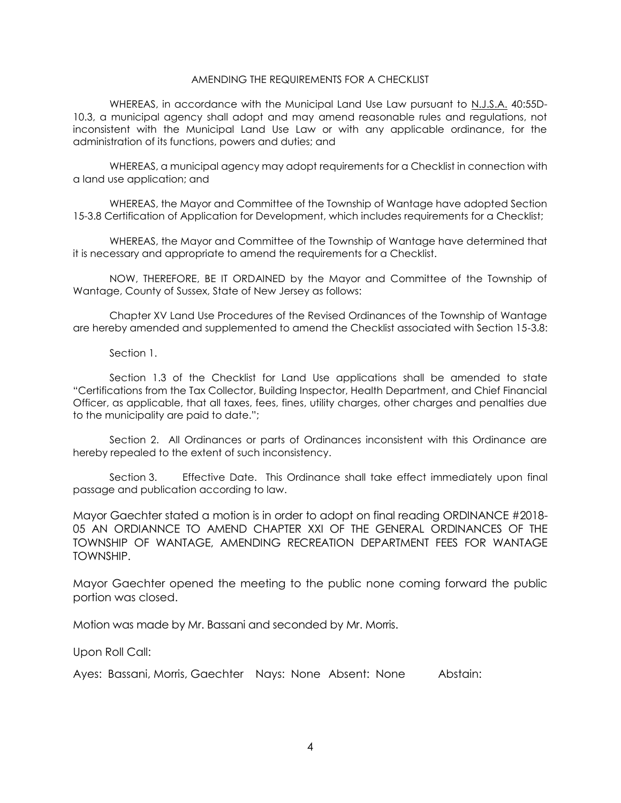### AMENDING THE REQUIREMENTS FOR A CHECKLIST

WHEREAS, in accordance with the Municipal Land Use Law pursuant to N.J.S.A. 40:55D-10.3, a municipal agency shall adopt and may amend reasonable rules and regulations, not inconsistent with the Municipal Land Use Law or with any applicable ordinance, for the administration of its functions, powers and duties; and

WHEREAS, a municipal agency may adopt requirements for a Checklist in connection with a land use application; and

WHEREAS, the Mayor and Committee of the Township of Wantage have adopted Section 15-3.8 Certification of Application for Development, which includes requirements for a Checklist;

WHEREAS, the Mayor and Committee of the Township of Wantage have determined that it is necessary and appropriate to amend the requirements for a Checklist.

NOW, THEREFORE, BE IT ORDAINED by the Mayor and Committee of the Township of Wantage, County of Sussex, State of New Jersey as follows:

Chapter XV Land Use Procedures of the Revised Ordinances of the Township of Wantage are hereby amended and supplemented to amend the Checklist associated with Section 15-3.8:

#### Section 1.

Section 1.3 of the Checklist for Land Use applications shall be amended to state "Certifications from the Tax Collector, Building Inspector, Health Department, and Chief Financial Officer, as applicable, that all taxes, fees, fines, utility charges, other charges and penalties due to the municipality are paid to date.";

Section 2. All Ordinances or parts of Ordinances inconsistent with this Ordinance are hereby repealed to the extent of such inconsistency.

Section 3. Effective Date. This Ordinance shall take effect immediately upon final passage and publication according to law.

Mayor Gaechter stated a motion is in order to adopt on final reading ORDINANCE #2018- 05 AN ORDIANNCE TO AMEND CHAPTER XXI OF THE GENERAL ORDINANCES OF THE TOWNSHIP OF WANTAGE, AMENDING RECREATION DEPARTMENT FEES FOR WANTAGE TOWNSHIP.

Mayor Gaechter opened the meeting to the public none coming forward the public portion was closed.

Motion was made by Mr. Bassani and seconded by Mr. Morris.

Upon Roll Call:

Ayes: Bassani, Morris, Gaechter Nays: None Absent: None Abstain: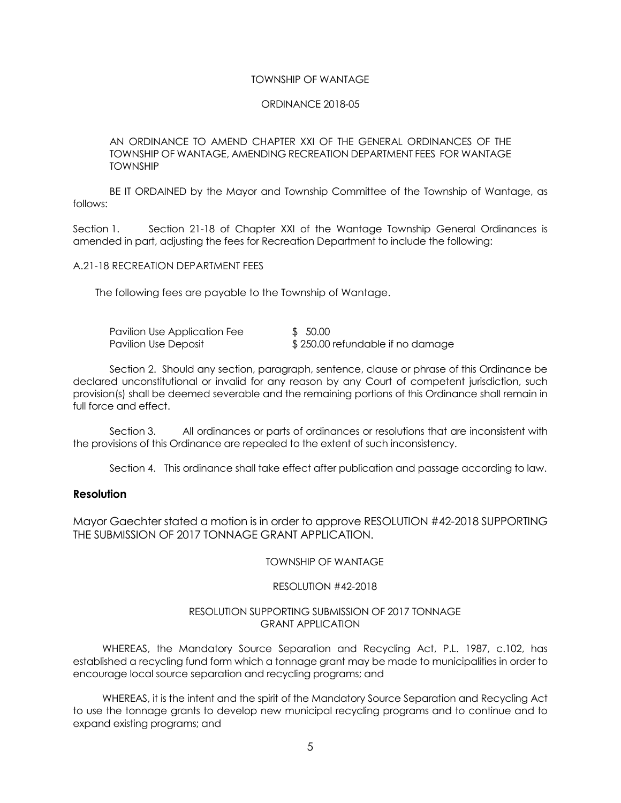#### TOWNSHIP OF WANTAGE

#### ORDINANCE 2018-05

AN ORDINANCE TO AMEND CHAPTER XXI OF THE GENERAL ORDINANCES OF THE TOWNSHIP OF WANTAGE, AMENDING RECREATION DEPARTMENT FEES FOR WANTAGE TOWNSHIP

BE IT ORDAINED by the Mayor and Township Committee of the Township of Wantage, as follows:

Section 1. Section 21-18 of Chapter XXI of the Wantage Township General Ordinances is amended in part, adjusting the fees for Recreation Department to include the following:

A.21-18 RECREATION DEPARTMENT FEES

The following fees are payable to the Township of Wantage.

| Pavilion Use Application Fee | \$50.00                          |
|------------------------------|----------------------------------|
| Pavilion Use Deposit         | \$250.00 refundable if no damage |

Section 2. Should any section, paragraph, sentence, clause or phrase of this Ordinance be declared unconstitutional or invalid for any reason by any Court of competent jurisdiction, such provision(s) shall be deemed severable and the remaining portions of this Ordinance shall remain in full force and effect.

Section 3. All ordinances or parts of ordinances or resolutions that are inconsistent with the provisions of this Ordinance are repealed to the extent of such inconsistency.

Section 4. This ordinance shall take effect after publication and passage according to law.

### **Resolution**

Mayor Gaechter stated a motion is in order to approve RESOLUTION #42-2018 SUPPORTING THE SUBMISSION OF 2017 TONNAGE GRANT APPLICATION.

TOWNSHIP OF WANTAGE

#### RESOLUTION #42-2018

#### RESOLUTION SUPPORTING SUBMISSION OF 2017 TONNAGE GRANT APPLICATION

WHEREAS, the Mandatory Source Separation and Recycling Act, P.L. 1987, c.102, has established a recycling fund form which a tonnage grant may be made to municipalities in order to encourage local source separation and recycling programs; and

WHEREAS, it is the intent and the spirit of the Mandatory Source Separation and Recycling Act to use the tonnage grants to develop new municipal recycling programs and to continue and to expand existing programs; and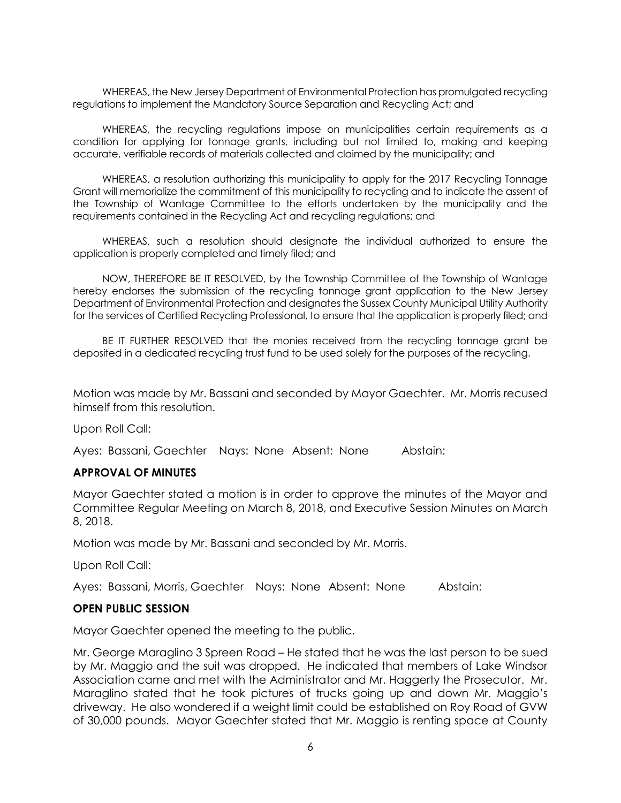WHEREAS, the New Jersey Department of Environmental Protection has promulgated recycling regulations to implement the Mandatory Source Separation and Recycling Act; and

WHEREAS, the recycling regulations impose on municipalities certain requirements as a condition for applying for tonnage grants, including but not limited to, making and keeping accurate, verifiable records of materials collected and claimed by the municipality; and

WHEREAS, a resolution authorizing this municipality to apply for the 2017 Recycling Tonnage Grant will memorialize the commitment of this municipality to recycling and to indicate the assent of the Township of Wantage Committee to the efforts undertaken by the municipality and the requirements contained in the Recycling Act and recycling regulations; and

WHEREAS, such a resolution should designate the individual authorized to ensure the application is properly completed and timely filed; and

NOW, THEREFORE BE IT RESOLVED, by the Township Committee of the Township of Wantage hereby endorses the submission of the recycling tonnage grant application to the New Jersey Department of Environmental Protection and designates the Sussex County Municipal Utility Authority for the services of Certified Recycling Professional, to ensure that the application is properly filed; and

BE IT FURTHER RESOLVED that the monies received from the recycling tonnage grant be deposited in a dedicated recycling trust fund to be used solely for the purposes of the recycling.

Motion was made by Mr. Bassani and seconded by Mayor Gaechter. Mr. Morris recused himself from this resolution.

Upon Roll Call:

Ayes: Bassani, Gaechter Nays: None Absent: None Abstain:

### **APPROVAL OF MINUTES**

Mayor Gaechter stated a motion is in order to approve the minutes of the Mayor and Committee Regular Meeting on March 8, 2018, and Executive Session Minutes on March 8, 2018.

Motion was made by Mr. Bassani and seconded by Mr. Morris.

Upon Roll Call:

Ayes: Bassani, Morris, Gaechter Nays: None Absent: None Abstain:

## **OPEN PUBLIC SESSION**

Mayor Gaechter opened the meeting to the public.

Mr. George Maraglino 3 Spreen Road – He stated that he was the last person to be sued by Mr. Maggio and the suit was dropped. He indicated that members of Lake Windsor Association came and met with the Administrator and Mr. Haggerty the Prosecutor. Mr. Maraglino stated that he took pictures of trucks going up and down Mr. Maggio's driveway. He also wondered if a weight limit could be established on Roy Road of GVW of 30,000 pounds. Mayor Gaechter stated that Mr. Maggio is renting space at County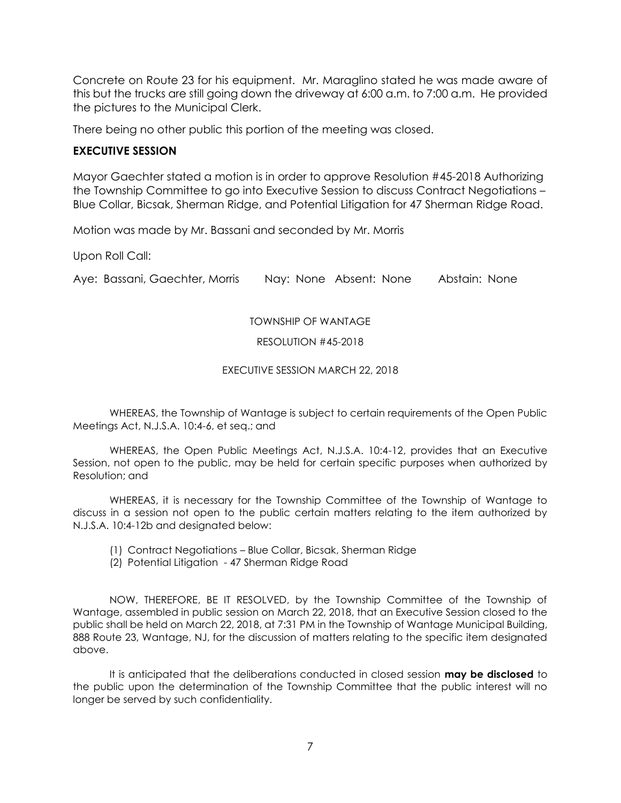Concrete on Route 23 for his equipment. Mr. Maraglino stated he was made aware of this but the trucks are still going down the driveway at 6:00 a.m. to 7:00 a.m. He provided the pictures to the Municipal Clerk.

There being no other public this portion of the meeting was closed.

# **EXECUTIVE SESSION**

Mayor Gaechter stated a motion is in order to approve Resolution #45-2018 Authorizing the Township Committee to go into Executive Session to discuss Contract Negotiations – Blue Collar, Bicsak, Sherman Ridge, and Potential Litigation for 47 Sherman Ridge Road.

Motion was made by Mr. Bassani and seconded by Mr. Morris

Upon Roll Call:

Aye: Bassani, Gaechter, Morris Nay: None Absent: None Abstain: None

### TOWNSHIP OF WANTAGE

### RESOLUTION #45-2018

### EXECUTIVE SESSION MARCH 22, 2018

WHEREAS, the Township of Wantage is subject to certain requirements of the Open Public Meetings Act, N.J.S.A. 10:4-6, et seq.; and

WHEREAS, the Open Public Meetings Act, N.J.S.A. 10:4-12, provides that an Executive Session, not open to the public, may be held for certain specific purposes when authorized by Resolution; and

WHEREAS, it is necessary for the Township Committee of the Township of Wantage to discuss in a session not open to the public certain matters relating to the item authorized by N.J.S.A. 10:4-12b and designated below:

- (1) Contract Negotiations Blue Collar, Bicsak, Sherman Ridge
- (2) Potential Litigation 47 Sherman Ridge Road

NOW, THEREFORE, BE IT RESOLVED, by the Township Committee of the Township of Wantage, assembled in public session on March 22, 2018, that an Executive Session closed to the public shall be held on March 22, 2018, at 7:31 PM in the Township of Wantage Municipal Building, 888 Route 23, Wantage, NJ, for the discussion of matters relating to the specific item designated above.

It is anticipated that the deliberations conducted in closed session **may be disclosed** to the public upon the determination of the Township Committee that the public interest will no longer be served by such confidentiality.